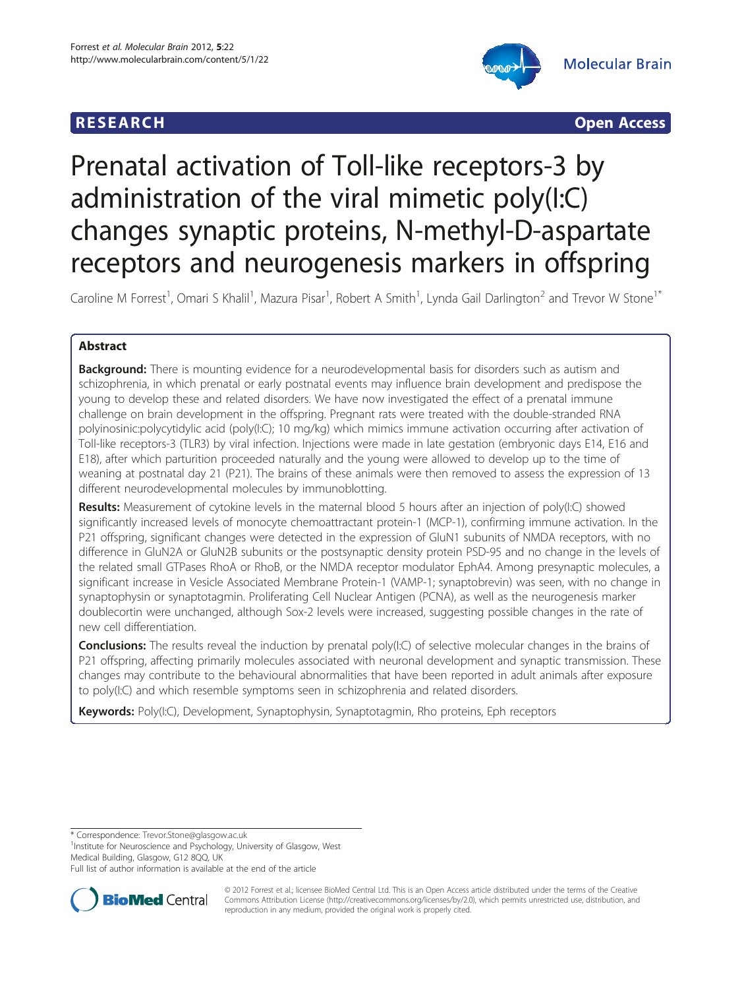



# Prenatal activation of Toll-like receptors-3 by administration of the viral mimetic poly(I:C) changes synaptic proteins, N-methyl-D-aspartate receptors and neurogenesis markers in offspring

Caroline M Forrest<sup>1</sup>, Omari S Khalil<sup>1</sup>, Mazura Pisar<sup>1</sup>, Robert A Smith<sup>1</sup>, Lynda Gail Darlington<sup>2</sup> and Trevor W Stone<sup>1\*</sup>

## Abstract

**Background:** There is mounting evidence for a neurodevelopmental basis for disorders such as autism and schizophrenia, in which prenatal or early postnatal events may influence brain development and predispose the young to develop these and related disorders. We have now investigated the effect of a prenatal immune challenge on brain development in the offspring. Pregnant rats were treated with the double-stranded RNA polyinosinic:polycytidylic acid (poly(I:C); 10 mg/kg) which mimics immune activation occurring after activation of Toll-like receptors-3 (TLR3) by viral infection. Injections were made in late gestation (embryonic days E14, E16 and E18), after which parturition proceeded naturally and the young were allowed to develop up to the time of weaning at postnatal day 21 (P21). The brains of these animals were then removed to assess the expression of 13 different neurodevelopmental molecules by immunoblotting.

Results: Measurement of cytokine levels in the maternal blood 5 hours after an injection of poly(I:C) showed significantly increased levels of monocyte chemoattractant protein-1 (MCP-1), confirming immune activation. In the P21 offspring, significant changes were detected in the expression of GluN1 subunits of NMDA receptors, with no difference in GluN2A or GluN2B subunits or the postsynaptic density protein PSD-95 and no change in the levels of the related small GTPases RhoA or RhoB, or the NMDA receptor modulator EphA4. Among presynaptic molecules, a significant increase in Vesicle Associated Membrane Protein-1 (VAMP-1; synaptobrevin) was seen, with no change in synaptophysin or synaptotagmin. Proliferating Cell Nuclear Antigen (PCNA), as well as the neurogenesis marker doublecortin were unchanged, although Sox-2 levels were increased, suggesting possible changes in the rate of new cell differentiation.

**Conclusions:** The results reveal the induction by prenatal poly(I:C) of selective molecular changes in the brains of P21 offspring, affecting primarily molecules associated with neuronal development and synaptic transmission. These changes may contribute to the behavioural abnormalities that have been reported in adult animals after exposure to poly(I:C) and which resemble symptoms seen in schizophrenia and related disorders.

Keywords: Poly(I:C), Development, Synaptophysin, Synaptotagmin, Rho proteins, Eph receptors

\* Correspondence: [Trevor.Stone@glasgow.ac.uk](mailto:Trevor.Stone@glasgow.ac.uk) <sup>1</sup>

<sup>1</sup>Institute for Neuroscience and Psychology, University of Glasgow, West Medical Building, Glasgow, G12 8QQ, UK

Full list of author information is available at the end of the article



© 2012 Forrest et al.; licensee BioMed Central Ltd. This is an Open Access article distributed under the terms of the Creative Commons Attribution License [\(http://creativecommons.org/licenses/by/2.0\)](http://creativecommons.org/licenses/by/2.0), which permits unrestricted use, distribution, and reproduction in any medium, provided the original work is properly cited.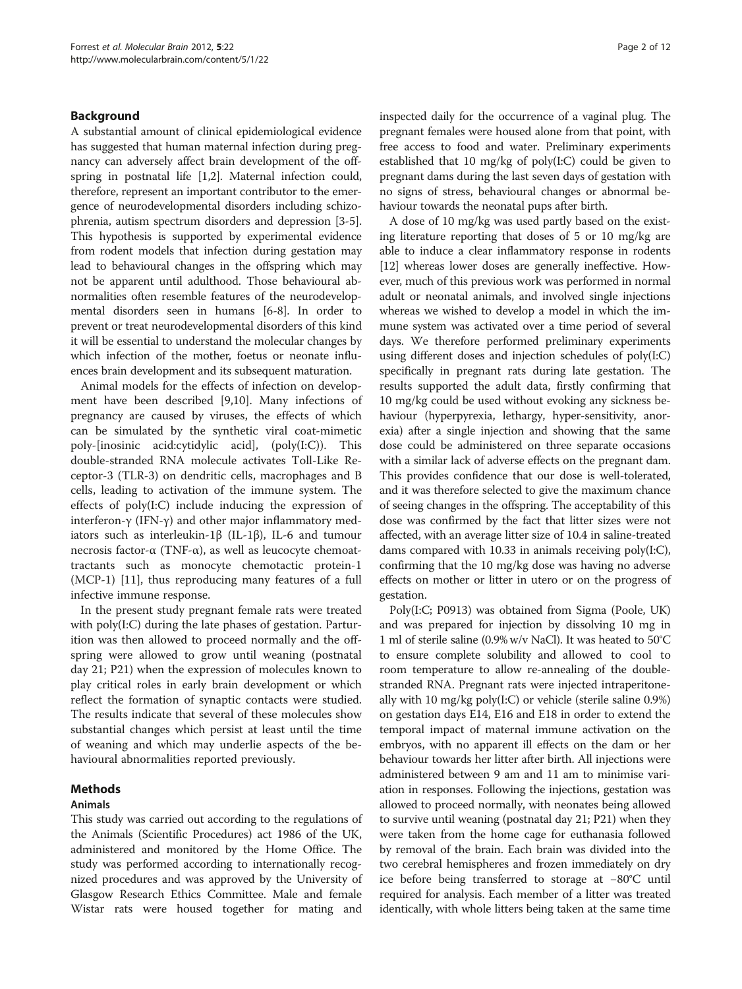## Background

A substantial amount of clinical epidemiological evidence has suggested that human maternal infection during pregnancy can adversely affect brain development of the offspring in postnatal life [\[1,2\]](#page-9-0). Maternal infection could, therefore, represent an important contributor to the emergence of neurodevelopmental disorders including schizophrenia, autism spectrum disorders and depression [\[3](#page-9-0)-[5](#page-9-0)]. This hypothesis is supported by experimental evidence from rodent models that infection during gestation may lead to behavioural changes in the offspring which may not be apparent until adulthood. Those behavioural abnormalities often resemble features of the neurodevelopmental disorders seen in humans [\[6](#page-9-0)-[8](#page-9-0)]. In order to prevent or treat neurodevelopmental disorders of this kind it will be essential to understand the molecular changes by which infection of the mother, foetus or neonate influences brain development and its subsequent maturation.

Animal models for the effects of infection on development have been described [\[9,10](#page-9-0)]. Many infections of pregnancy are caused by viruses, the effects of which can be simulated by the synthetic viral coat-mimetic poly-[inosinic acid:cytidylic acid], (poly(I:C)). This double-stranded RNA molecule activates Toll-Like Receptor-3 (TLR-3) on dendritic cells, macrophages and B cells, leading to activation of the immune system. The effects of poly(I:C) include inducing the expression of interferon-γ (IFN-γ) and other major inflammatory mediators such as interleukin-1β (IL-1β), IL-6 and tumour necrosis factor-α (TNF-α), as well as leucocyte chemoattractants such as monocyte chemotactic protein-1 (MCP-1) [[11\]](#page-9-0), thus reproducing many features of a full infective immune response.

In the present study pregnant female rats were treated with poly(I:C) during the late phases of gestation. Parturition was then allowed to proceed normally and the offspring were allowed to grow until weaning (postnatal day 21; P21) when the expression of molecules known to play critical roles in early brain development or which reflect the formation of synaptic contacts were studied. The results indicate that several of these molecules show substantial changes which persist at least until the time of weaning and which may underlie aspects of the behavioural abnormalities reported previously.

## Methods

#### Animals

This study was carried out according to the regulations of the Animals (Scientific Procedures) act 1986 of the UK, administered and monitored by the Home Office. The study was performed according to internationally recognized procedures and was approved by the University of Glasgow Research Ethics Committee. Male and female Wistar rats were housed together for mating and inspected daily for the occurrence of a vaginal plug. The pregnant females were housed alone from that point, with free access to food and water. Preliminary experiments established that 10 mg/kg of poly(I:C) could be given to pregnant dams during the last seven days of gestation with no signs of stress, behavioural changes or abnormal behaviour towards the neonatal pups after birth.

A dose of 10 mg/kg was used partly based on the existing literature reporting that doses of 5 or 10 mg/kg are able to induce a clear inflammatory response in rodents [[12](#page-9-0)] whereas lower doses are generally ineffective. However, much of this previous work was performed in normal adult or neonatal animals, and involved single injections whereas we wished to develop a model in which the immune system was activated over a time period of several days. We therefore performed preliminary experiments using different doses and injection schedules of poly(I:C) specifically in pregnant rats during late gestation. The results supported the adult data, firstly confirming that 10 mg/kg could be used without evoking any sickness behaviour (hyperpyrexia, lethargy, hyper-sensitivity, anorexia) after a single injection and showing that the same dose could be administered on three separate occasions with a similar lack of adverse effects on the pregnant dam. This provides confidence that our dose is well-tolerated, and it was therefore selected to give the maximum chance of seeing changes in the offspring. The acceptability of this dose was confirmed by the fact that litter sizes were not affected, with an average litter size of 10.4 in saline-treated dams compared with 10.33 in animals receiving poly(I:C), confirming that the 10 mg/kg dose was having no adverse effects on mother or litter in utero or on the progress of gestation.

Poly(I:C; P0913) was obtained from Sigma (Poole, UK) and was prepared for injection by dissolving 10 mg in 1 ml of sterile saline (0.9% w/v NaCl). It was heated to 50°C to ensure complete solubility and allowed to cool to room temperature to allow re-annealing of the doublestranded RNA. Pregnant rats were injected intraperitoneally with 10 mg/kg poly(I:C) or vehicle (sterile saline 0.9%) on gestation days E14, E16 and E18 in order to extend the temporal impact of maternal immune activation on the embryos, with no apparent ill effects on the dam or her behaviour towards her litter after birth. All injections were administered between 9 am and 11 am to minimise variation in responses. Following the injections, gestation was allowed to proceed normally, with neonates being allowed to survive until weaning (postnatal day 21; P21) when they were taken from the home cage for euthanasia followed by removal of the brain. Each brain was divided into the two cerebral hemispheres and frozen immediately on dry ice before being transferred to storage at −80°C until required for analysis. Each member of a litter was treated identically, with whole litters being taken at the same time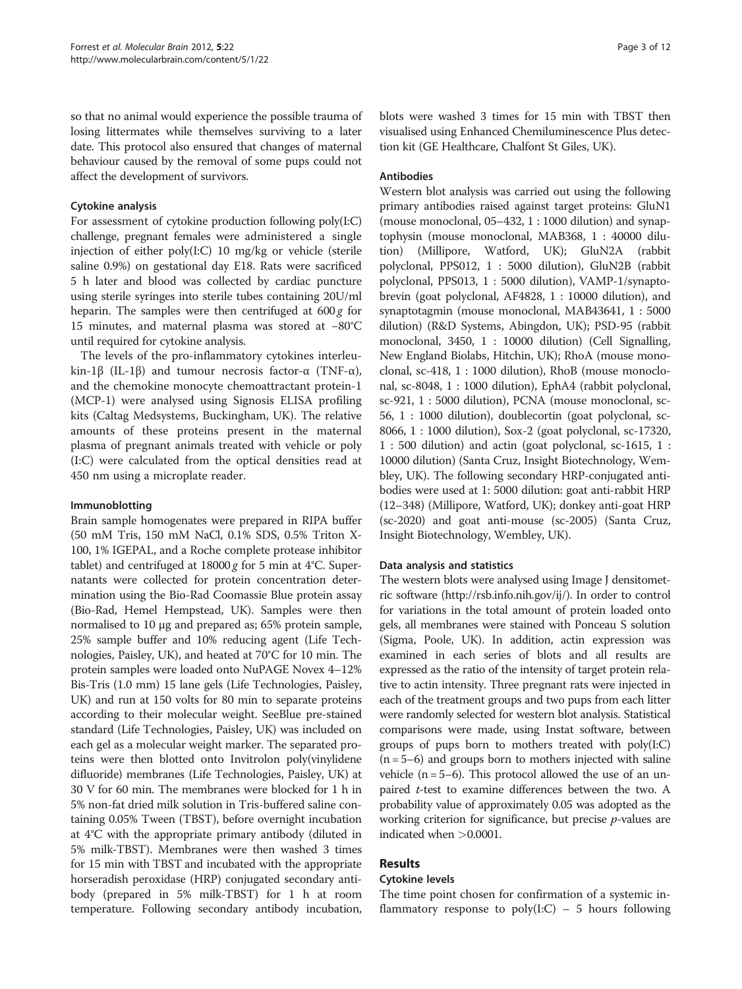so that no animal would experience the possible trauma of losing littermates while themselves surviving to a later date. This protocol also ensured that changes of maternal behaviour caused by the removal of some pups could not affect the development of survivors.

## Cytokine analysis

For assessment of cytokine production following poly(I:C) challenge, pregnant females were administered a single injection of either poly(I:C) 10 mg/kg or vehicle (sterile saline 0.9%) on gestational day E18. Rats were sacrificed 5 h later and blood was collected by cardiac puncture using sterile syringes into sterile tubes containing 20U/ml heparin. The samples were then centrifuged at  $600 g$  for 15 minutes, and maternal plasma was stored at −80°C until required for cytokine analysis.

The levels of the pro-inflammatory cytokines interleukin-1β (IL-1β) and tumour necrosis factor-α (TNF-α), and the chemokine monocyte chemoattractant protein-1 (MCP-1) were analysed using Signosis ELISA profiling kits (Caltag Medsystems, Buckingham, UK). The relative amounts of these proteins present in the maternal plasma of pregnant animals treated with vehicle or poly (I:C) were calculated from the optical densities read at 450 nm using a microplate reader.

#### Immunoblotting

Brain sample homogenates were prepared in RIPA buffer (50 mM Tris, 150 mM NaCl, 0.1% SDS, 0.5% Triton X-100, 1% IGEPAL, and a Roche complete protease inhibitor tablet) and centrifuged at  $18000 g$  for 5 min at 4°C. Supernatants were collected for protein concentration determination using the Bio-Rad Coomassie Blue protein assay (Bio-Rad, Hemel Hempstead, UK). Samples were then normalised to 10 μg and prepared as; 65% protein sample, 25% sample buffer and 10% reducing agent (Life Technologies, Paisley, UK), and heated at 70°C for 10 min. The protein samples were loaded onto NuPAGE Novex 4–12% Bis-Tris (1.0 mm) 15 lane gels (Life Technologies, Paisley, UK) and run at 150 volts for 80 min to separate proteins according to their molecular weight. SeeBlue pre-stained standard (Life Technologies, Paisley, UK) was included on each gel as a molecular weight marker. The separated proteins were then blotted onto Invitrolon poly(vinylidene difluoride) membranes (Life Technologies, Paisley, UK) at 30 V for 60 min. The membranes were blocked for 1 h in 5% non-fat dried milk solution in Tris-buffered saline containing 0.05% Tween (TBST), before overnight incubation at 4°C with the appropriate primary antibody (diluted in 5% milk-TBST). Membranes were then washed 3 times for 15 min with TBST and incubated with the appropriate horseradish peroxidase (HRP) conjugated secondary antibody (prepared in 5% milk-TBST) for 1 h at room temperature. Following secondary antibody incubation,

blots were washed 3 times for 15 min with TBST then visualised using Enhanced Chemiluminescence Plus detection kit (GE Healthcare, Chalfont St Giles, UK).

## Antibodies

Western blot analysis was carried out using the following primary antibodies raised against target proteins: GluN1 (mouse monoclonal, 05–432, 1 : 1000 dilution) and synaptophysin (mouse monoclonal, MAB368, 1 : 40000 dilution) (Millipore, Watford, UK); GluN2A (rabbit polyclonal, PPS012, 1 : 5000 dilution), GluN2B (rabbit polyclonal, PPS013, 1 : 5000 dilution), VAMP-1/synaptobrevin (goat polyclonal, AF4828, 1 : 10000 dilution), and synaptotagmin (mouse monoclonal, MAB43641, 1 : 5000 dilution) (R&D Systems, Abingdon, UK); PSD-95 (rabbit monoclonal, 3450, 1 : 10000 dilution) (Cell Signalling, New England Biolabs, Hitchin, UK); RhoA (mouse monoclonal, sc-418, 1 : 1000 dilution), RhoB (mouse monoclonal, sc-8048, 1 : 1000 dilution), EphA4 (rabbit polyclonal, sc-921, 1 : 5000 dilution), PCNA (mouse monoclonal, sc-56, 1 : 1000 dilution), doublecortin (goat polyclonal, sc-8066, 1 : 1000 dilution), Sox-2 (goat polyclonal, sc-17320, 1 : 500 dilution) and actin (goat polyclonal, sc-1615, 1 : 10000 dilution) (Santa Cruz, Insight Biotechnology, Wembley, UK). The following secondary HRP-conjugated antibodies were used at 1: 5000 dilution: goat anti-rabbit HRP (12–348) (Millipore, Watford, UK); donkey anti-goat HRP (sc-2020) and goat anti-mouse (sc-2005) (Santa Cruz, Insight Biotechnology, Wembley, UK).

## Data analysis and statistics

The western blots were analysed using Image J densitometric software (http://rsb.info.nih.gov/ij/). In order to control for variations in the total amount of protein loaded onto gels, all membranes were stained with Ponceau S solution (Sigma, Poole, UK). In addition, actin expression was examined in each series of blots and all results are expressed as the ratio of the intensity of target protein relative to actin intensity. Three pregnant rats were injected in each of the treatment groups and two pups from each litter were randomly selected for western blot analysis. Statistical comparisons were made, using Instat software, between groups of pups born to mothers treated with poly(I:C) (n = 5–6) and groups born to mothers injected with saline vehicle  $(n = 5-6)$ . This protocol allowed the use of an unpaired *t*-test to examine differences between the two. A probability value of approximately 0.05 was adopted as the working criterion for significance, but precise  $p$ -values are indicated when >0.0001.

## Results

### Cytokine levels

The time point chosen for confirmation of a systemic inflammatory response to  $poly(I:C) - 5$  hours following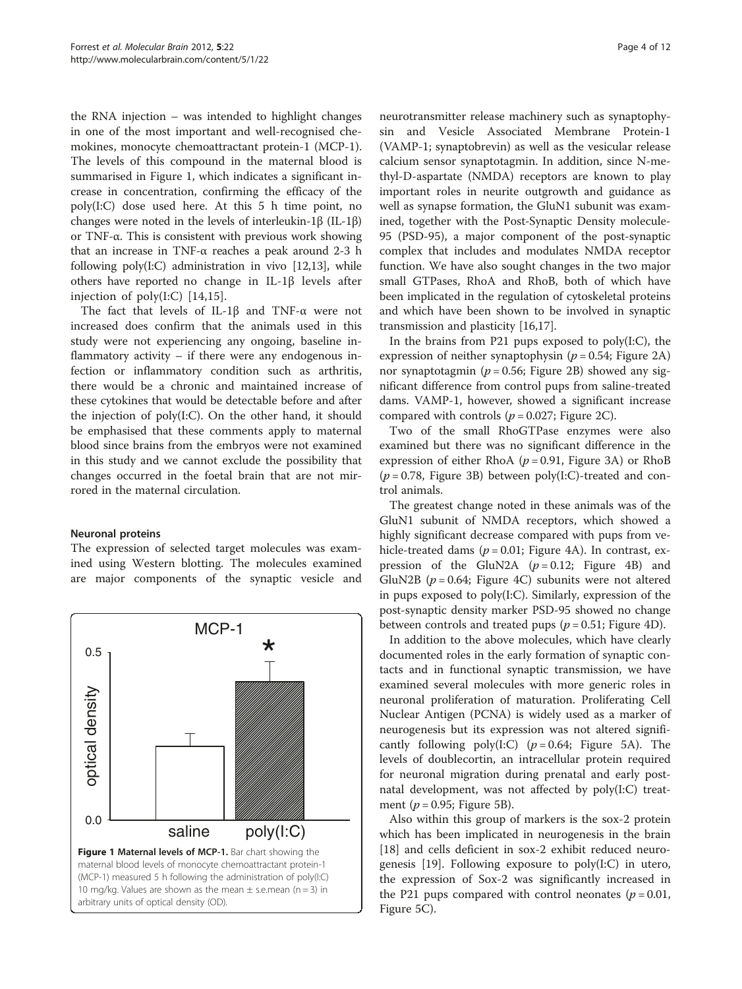the RNA injection – was intended to highlight changes in one of the most important and well-recognised chemokines, monocyte chemoattractant protein-1 (MCP-1). The levels of this compound in the maternal blood is summarised in Figure 1, which indicates a significant increase in concentration, confirming the efficacy of the poly(I:C) dose used here. At this 5 h time point, no changes were noted in the levels of interleukin-1β (IL-1β) or TNF-α. This is consistent with previous work showing that an increase in TNF-α reaches a peak around 2-3 h following  $poly(I:C)$  administration in vivo [\[12,13](#page-9-0)], while others have reported no change in IL-1β levels after injection of poly(I:C) [\[14](#page-9-0),[15\]](#page-9-0).

The fact that levels of IL-1β and TNF-α were not increased does confirm that the animals used in this study were not experiencing any ongoing, baseline inflammatory activity – if there were any endogenous infection or inflammatory condition such as arthritis, there would be a chronic and maintained increase of these cytokines that would be detectable before and after the injection of poly(I:C). On the other hand, it should be emphasised that these comments apply to maternal blood since brains from the embryos were not examined in this study and we cannot exclude the possibility that changes occurred in the foetal brain that are not mirrored in the maternal circulation.

#### Neuronal proteins

The expression of selected target molecules was examined using Western blotting. The molecules examined are major components of the synaptic vesicle and



neurotransmitter release machinery such as synaptophysin and Vesicle Associated Membrane Protein-1 (VAMP-1; synaptobrevin) as well as the vesicular release calcium sensor synaptotagmin. In addition, since N-methyl-D-aspartate (NMDA) receptors are known to play important roles in neurite outgrowth and guidance as well as synapse formation, the GluN1 subunit was examined, together with the Post-Synaptic Density molecule-95 (PSD-95), a major component of the post-synaptic complex that includes and modulates NMDA receptor function. We have also sought changes in the two major small GTPases, RhoA and RhoB, both of which have been implicated in the regulation of cytoskeletal proteins and which have been shown to be involved in synaptic transmission and plasticity [[16,17\]](#page-9-0).

In the brains from P21 pups exposed to  $poly(I:C)$ , the expression of neither synaptophysin ( $p = 0.54$ ; Figure [2A](#page-4-0)) nor synaptotagmin ( $p = 0.56$ ; Figure [2B\)](#page-4-0) showed any significant difference from control pups from saline-treated dams. VAMP-1, however, showed a significant increase compared with controls ( $p = 0.027$ ; Figure [2C\)](#page-4-0).

Two of the small RhoGTPase enzymes were also examined but there was no significant difference in the expression of either RhoA ( $p = 0.91$ , Figure [3A](#page-5-0)) or RhoB  $(p = 0.78,$  Figure [3B](#page-5-0)) between poly(I:C)-treated and control animals.

The greatest change noted in these animals was of the GluN1 subunit of NMDA receptors, which showed a highly significant decrease compared with pups from vehicle-treated dams ( $p = 0.01$ ; Figure [4A\)](#page-6-0). In contrast, expression of the GluN2A  $(p=0.12;$  Figure [4B\)](#page-6-0) and GluN2B ( $p = 0.64$ ; Figure [4C\)](#page-6-0) subunits were not altered in pups exposed to poly(I:C). Similarly, expression of the post-synaptic density marker PSD-95 showed no change between controls and treated pups ( $p = 0.51$ ; Figure [4D](#page-6-0)).

In addition to the above molecules, which have clearly documented roles in the early formation of synaptic contacts and in functional synaptic transmission, we have examined several molecules with more generic roles in neuronal proliferation of maturation. Proliferating Cell Nuclear Antigen (PCNA) is widely used as a marker of neurogenesis but its expression was not altered significantly following poly(I:C) ( $p = 0.64$ ; Figure [5A](#page-7-0)). The levels of doublecortin, an intracellular protein required for neuronal migration during prenatal and early postnatal development, was not affected by poly(I:C) treatment ( $p = 0.95$ ; Figure [5B\)](#page-7-0).

Also within this group of markers is the sox-2 protein which has been implicated in neurogenesis in the brain [[18\]](#page-9-0) and cells deficient in sox-2 exhibit reduced neurogenesis [[19\]](#page-9-0). Following exposure to poly(I:C) in utero, the expression of Sox-2 was significantly increased in the P21 pups compared with control neonates ( $p = 0.01$ , Figure [5C](#page-7-0)).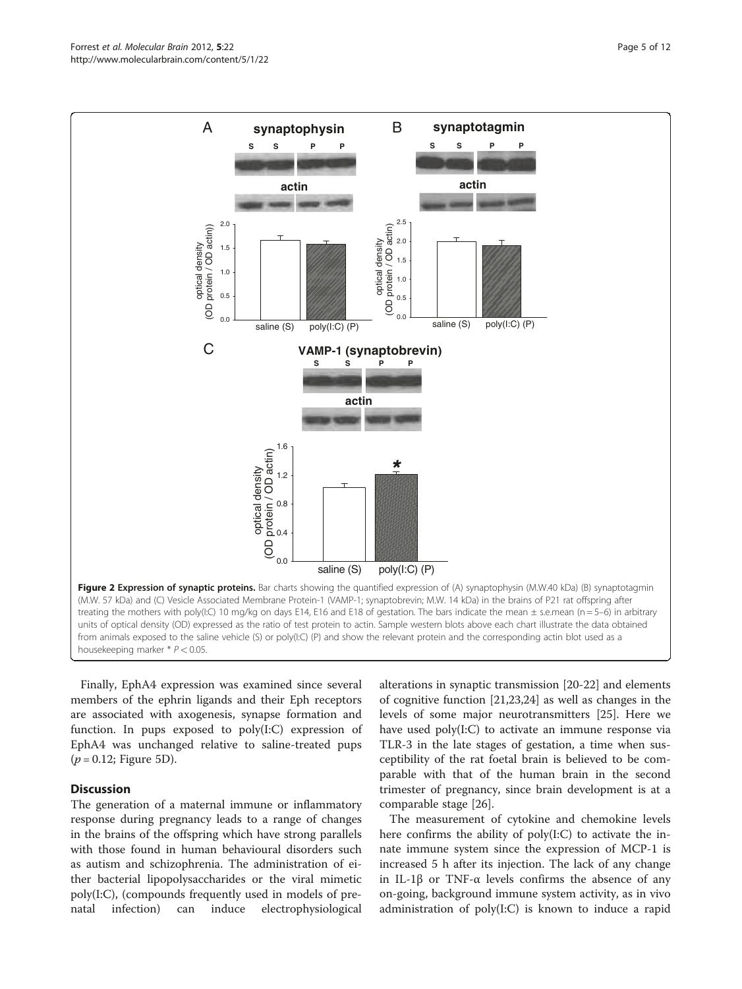<span id="page-4-0"></span>

Finally, EphA4 expression was examined since several members of the ephrin ligands and their Eph receptors are associated with axogenesis, synapse formation and function. In pups exposed to poly(I:C) expression of EphA4 was unchanged relative to saline-treated pups  $(p = 0.12;$  Figure [5D\)](#page-7-0).

## **Discussion**

The generation of a maternal immune or inflammatory response during pregnancy leads to a range of changes in the brains of the offspring which have strong parallels with those found in human behavioural disorders such as autism and schizophrenia. The administration of either bacterial lipopolysaccharides or the viral mimetic poly(I:C), (compounds frequently used in models of prenatal infection) can induce electrophysiological

alterations in synaptic transmission [\[20](#page-9-0)[-22](#page-10-0)] and elements of cognitive function [\[21,23,24](#page-10-0)] as well as changes in the levels of some major neurotransmitters [\[25\]](#page-10-0). Here we have used poly(I:C) to activate an immune response via TLR-3 in the late stages of gestation, a time when susceptibility of the rat foetal brain is believed to be comparable with that of the human brain in the second trimester of pregnancy, since brain development is at a comparable stage [[26](#page-10-0)].

The measurement of cytokine and chemokine levels here confirms the ability of poly(I:C) to activate the innate immune system since the expression of MCP-1 is increased 5 h after its injection. The lack of any change in IL-1β or TNF-α levels confirms the absence of any on-going, background immune system activity, as in vivo administration of poly(I:C) is known to induce a rapid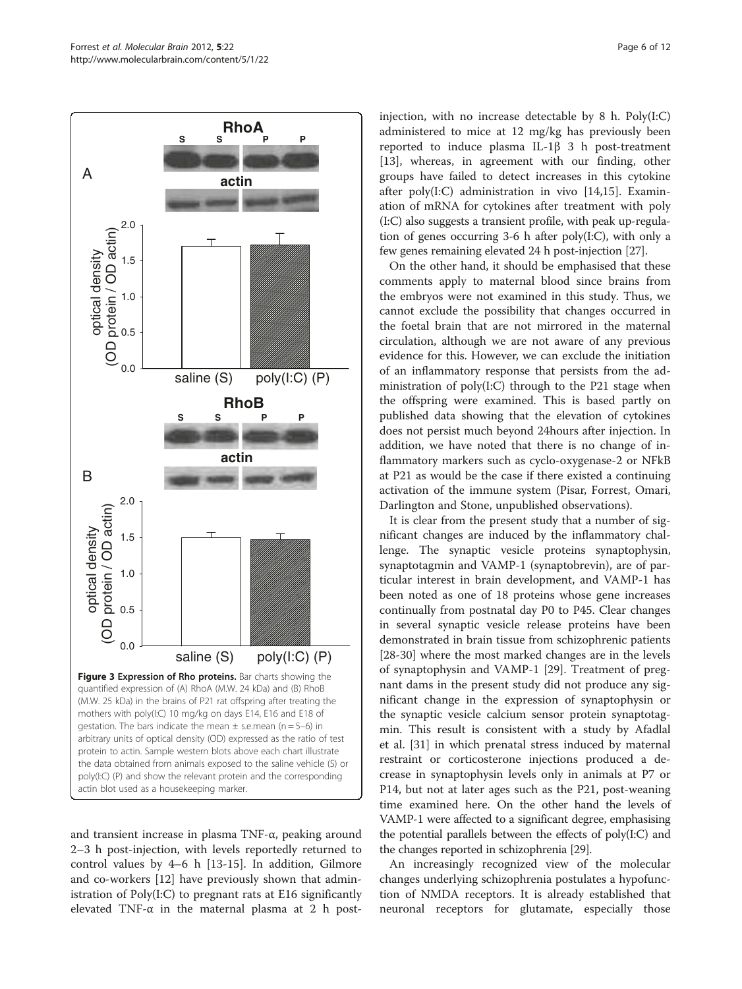<span id="page-5-0"></span>

and transient increase in plasma TNF-α, peaking around 2–3 h post-injection, with levels reportedly returned to control values by 4–6 h [\[13-15](#page-9-0)]. In addition, Gilmore and co-workers [[12](#page-9-0)] have previously shown that administration of Poly(I:C) to pregnant rats at E16 significantly elevated TNF- $\alpha$  in the maternal plasma at 2 h postinjection, with no increase detectable by 8 h. Poly(I:C) administered to mice at 12 mg/kg has previously been reported to induce plasma IL-1β 3 h post-treatment [[13\]](#page-9-0), whereas, in agreement with our finding, other groups have failed to detect increases in this cytokine after poly(I:C) administration in vivo [[14,15\]](#page-9-0). Examination of mRNA for cytokines after treatment with poly (I:C) also suggests a transient profile, with peak up-regulation of genes occurring 3-6 h after poly(I:C), with only a few genes remaining elevated 24 h post-injection [\[27\]](#page-10-0).

On the other hand, it should be emphasised that these comments apply to maternal blood since brains from the embryos were not examined in this study. Thus, we cannot exclude the possibility that changes occurred in the foetal brain that are not mirrored in the maternal circulation, although we are not aware of any previous evidence for this. However, we can exclude the initiation of an inflammatory response that persists from the administration of poly(I:C) through to the P21 stage when the offspring were examined. This is based partly on published data showing that the elevation of cytokines does not persist much beyond 24hours after injection. In addition, we have noted that there is no change of inflammatory markers such as cyclo-oxygenase-2 or NFkB at P21 as would be the case if there existed a continuing activation of the immune system (Pisar, Forrest, Omari, Darlington and Stone, unpublished observations).

It is clear from the present study that a number of significant changes are induced by the inflammatory challenge. The synaptic vesicle proteins synaptophysin, synaptotagmin and VAMP-1 (synaptobrevin), are of particular interest in brain development, and VAMP-1 has been noted as one of 18 proteins whose gene increases continually from postnatal day P0 to P45. Clear changes in several synaptic vesicle release proteins have been demonstrated in brain tissue from schizophrenic patients [[28-30](#page-10-0)] where the most marked changes are in the levels of synaptophysin and VAMP-1 [[29\]](#page-10-0). Treatment of pregnant dams in the present study did not produce any significant change in the expression of synaptophysin or the synaptic vesicle calcium sensor protein synaptotagmin. This result is consistent with a study by Afadlal et al. [\[31](#page-10-0)] in which prenatal stress induced by maternal restraint or corticosterone injections produced a decrease in synaptophysin levels only in animals at P7 or P14, but not at later ages such as the P21, post-weaning time examined here. On the other hand the levels of VAMP-1 were affected to a significant degree, emphasising the potential parallels between the effects of poly(I:C) and the changes reported in schizophrenia [[29](#page-10-0)].

An increasingly recognized view of the molecular changes underlying schizophrenia postulates a hypofunction of NMDA receptors. It is already established that neuronal receptors for glutamate, especially those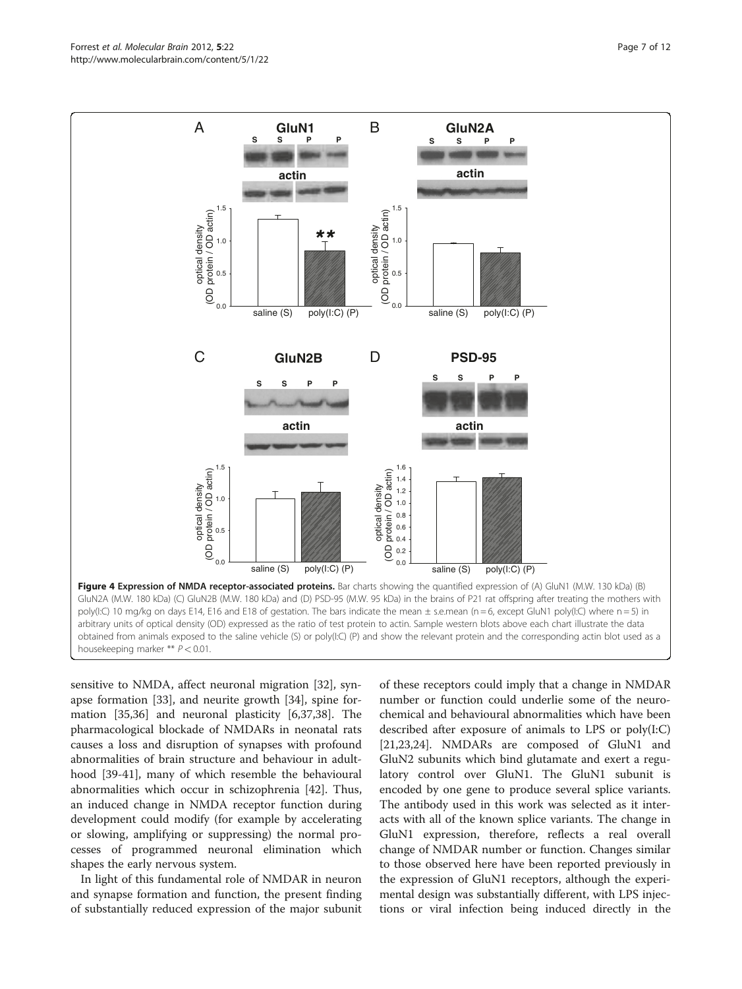sensitive to NMDA, affect neuronal migration [[32\]](#page-10-0), synapse formation [[33](#page-10-0)], and neurite growth [[34](#page-10-0)], spine formation [[35](#page-10-0),[36](#page-10-0)] and neuronal plasticity [\[6](#page-9-0)[,37,38](#page-10-0)]. The pharmacological blockade of NMDARs in neonatal rats causes a loss and disruption of synapses with profound abnormalities of brain structure and behaviour in adulthood [[39-41](#page-10-0)], many of which resemble the behavioural abnormalities which occur in schizophrenia [[42\]](#page-10-0). Thus, an induced change in NMDA receptor function during development could modify (for example by accelerating or slowing, amplifying or suppressing) the normal processes of programmed neuronal elimination which shapes the early nervous system.

In light of this fundamental role of NMDAR in neuron and synapse formation and function, the present finding of substantially reduced expression of the major subunit

of these receptors could imply that a change in NMDAR number or function could underlie some of the neurochemical and behavioural abnormalities which have been described after exposure of animals to LPS or poly(I:C) [[21,23,24\]](#page-10-0). NMDARs are composed of GluN1 and GluN2 subunits which bind glutamate and exert a regulatory control over GluN1. The GluN1 subunit is encoded by one gene to produce several splice variants. The antibody used in this work was selected as it interacts with all of the known splice variants. The change in GluN1 expression, therefore, reflects a real overall change of NMDAR number or function. Changes similar to those observed here have been reported previously in the expression of GluN1 receptors, although the experimental design was substantially different, with LPS injec-**Example 11**<br> **Example 11**<br> **Example 20**<br> **Example 20**<br> **Example 20**<br> **Example 20**<br> **Example 20**<br> **Example 20**<br> **Example 20**<br> **Example 20**<br> **Example 20**<br> **Example 20**<br> **Example 20**<br> **Example 20**<br> **Example 20**<br> **Example 2** 

<span id="page-6-0"></span>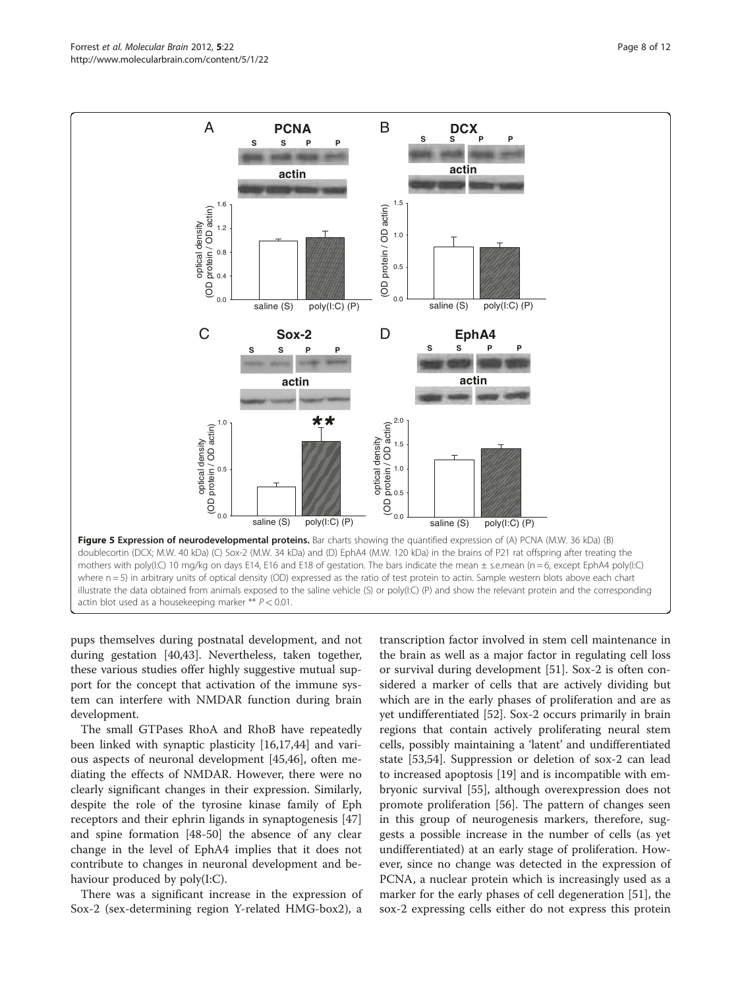pups themselves during postnatal development, and not during gestation [[40,43](#page-10-0)]. Nevertheless, taken together, these various studies offer highly suggestive mutual support for the concept that activation of the immune system can interfere with NMDAR function during brain development.

The small GTPases RhoA and RhoB have repeatedly been linked with synaptic plasticity [[16,17,](#page-9-0)[44\]](#page-10-0) and various aspects of neuronal development [[45,46\]](#page-10-0), often mediating the effects of NMDAR. However, there were no clearly significant changes in their expression. Similarly, despite the role of the tyrosine kinase family of Eph receptors and their ephrin ligands in synaptogenesis [[47](#page-10-0)] and spine formation [\[48-50](#page-10-0)] the absence of any clear change in the level of EphA4 implies that it does not contribute to changes in neuronal development and behaviour produced by poly(I:C).

There was a significant increase in the expression of Sox-2 (sex-determining region Y-related HMG-box2), a

transcription factor involved in stem cell maintenance in the brain as well as a major factor in regulating cell loss or survival during development [[51\]](#page-10-0). Sox-2 is often considered a marker of cells that are actively dividing but which are in the early phases of proliferation and are as yet undifferentiated [\[52\]](#page-10-0). Sox-2 occurs primarily in brain regions that contain actively proliferating neural stem cells, possibly maintaining a 'latent' and undifferentiated state [[53,54\]](#page-10-0). Suppression or deletion of sox-2 can lead to increased apoptosis [[19\]](#page-9-0) and is incompatible with embryonic survival [\[55](#page-10-0)], although overexpression does not promote proliferation [[56\]](#page-10-0). The pattern of changes seen in this group of neurogenesis markers, therefore, suggests a possible increase in the number of cells (as yet undifferentiated) at an early stage of proliferation. However, since no change was detected in the expression of PCNA, a nuclear protein which is increasingly used as a marker for the early phases of cell degeneration [\[51](#page-10-0)], the sox-2 expressing cells either do not express this protein

<span id="page-7-0"></span>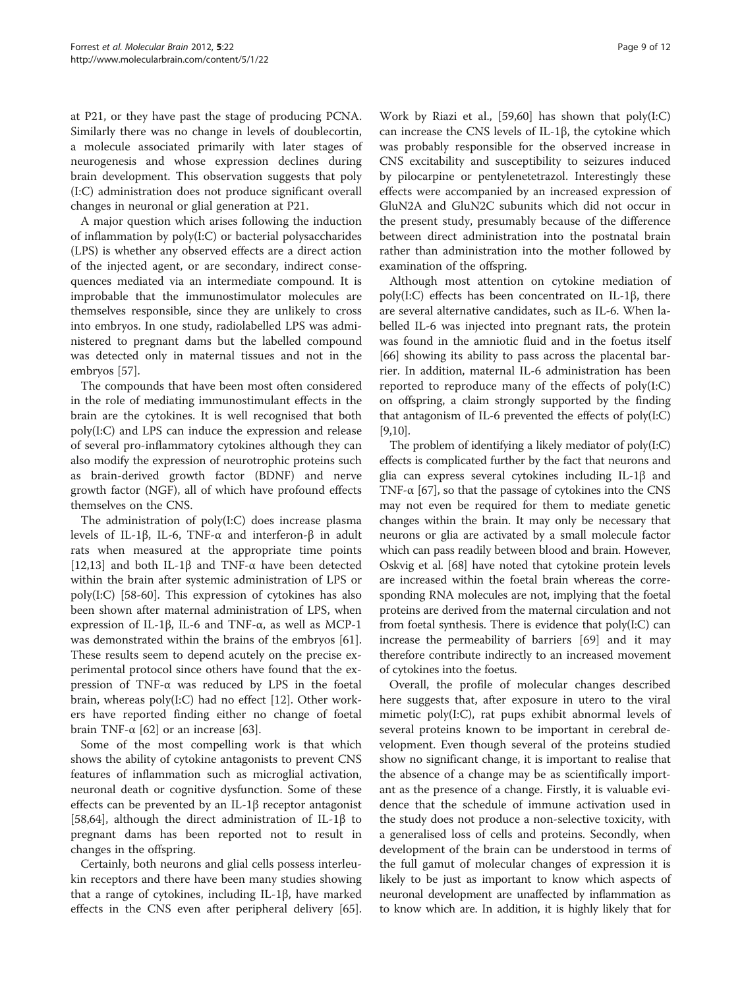at P21, or they have past the stage of producing PCNA. Similarly there was no change in levels of doublecortin, a molecule associated primarily with later stages of neurogenesis and whose expression declines during brain development. This observation suggests that poly (I:C) administration does not produce significant overall changes in neuronal or glial generation at P21.

A major question which arises following the induction of inflammation by poly(I:C) or bacterial polysaccharides (LPS) is whether any observed effects are a direct action of the injected agent, or are secondary, indirect consequences mediated via an intermediate compound. It is improbable that the immunostimulator molecules are themselves responsible, since they are unlikely to cross into embryos. In one study, radiolabelled LPS was administered to pregnant dams but the labelled compound was detected only in maternal tissues and not in the embryos [\[57](#page-10-0)].

The compounds that have been most often considered in the role of mediating immunostimulant effects in the brain are the cytokines. It is well recognised that both poly(I:C) and LPS can induce the expression and release of several pro-inflammatory cytokines although they can also modify the expression of neurotrophic proteins such as brain-derived growth factor (BDNF) and nerve growth factor (NGF), all of which have profound effects themselves on the CNS.

The administration of poly(I:C) does increase plasma levels of IL-1β, IL-6, TNF-α and interferon-β in adult rats when measured at the appropriate time points [[12,13\]](#page-9-0) and both IL-1 $\beta$  and TNF- $\alpha$  have been detected within the brain after systemic administration of LPS or poly(I:C) [[58-60](#page-10-0)]. This expression of cytokines has also been shown after maternal administration of LPS, when expression of IL-1β, IL-6 and TNF-α, as well as MCP-1 was demonstrated within the brains of the embryos [\[61](#page-10-0)]. These results seem to depend acutely on the precise experimental protocol since others have found that the expression of TNF-α was reduced by LPS in the foetal brain, whereas poly(I:C) had no effect [\[12](#page-9-0)]. Other workers have reported finding either no change of foetal brain TNF- $\alpha$  [\[62\]](#page-10-0) or an increase [[63](#page-10-0)].

Some of the most compelling work is that which shows the ability of cytokine antagonists to prevent CNS features of inflammation such as microglial activation, neuronal death or cognitive dysfunction. Some of these effects can be prevented by an IL-1β receptor antagonist [[58,](#page-10-0)[64\]](#page-11-0), although the direct administration of IL-1β to pregnant dams has been reported not to result in changes in the offspring.

Certainly, both neurons and glial cells possess interleukin receptors and there have been many studies showing that a range of cytokines, including IL-1β, have marked effects in the CNS even after peripheral delivery [\[65](#page-11-0)].

Work by Riazi et al., [[59,60\]](#page-10-0) has shown that poly(I:C) can increase the CNS levels of IL-1β, the cytokine which was probably responsible for the observed increase in CNS excitability and susceptibility to seizures induced by pilocarpine or pentylenetetrazol. Interestingly these effects were accompanied by an increased expression of GluN2A and GluN2C subunits which did not occur in the present study, presumably because of the difference between direct administration into the postnatal brain rather than administration into the mother followed by examination of the offspring.

Although most attention on cytokine mediation of poly(I:C) effects has been concentrated on IL-1β, there are several alternative candidates, such as IL-6. When labelled IL-6 was injected into pregnant rats, the protein was found in the amniotic fluid and in the foetus itself [[66\]](#page-11-0) showing its ability to pass across the placental barrier. In addition, maternal IL-6 administration has been reported to reproduce many of the effects of poly(I:C) on offspring, a claim strongly supported by the finding that antagonism of IL-6 prevented the effects of poly(I:C) [[9,10](#page-9-0)].

The problem of identifying a likely mediator of poly(I:C) effects is complicated further by the fact that neurons and glia can express several cytokines including IL-1β and TNF- $\alpha$  [\[67](#page-11-0)], so that the passage of cytokines into the CNS may not even be required for them to mediate genetic changes within the brain. It may only be necessary that neurons or glia are activated by a small molecule factor which can pass readily between blood and brain. However, Oskvig et al. [[68](#page-11-0)] have noted that cytokine protein levels are increased within the foetal brain whereas the corresponding RNA molecules are not, implying that the foetal proteins are derived from the maternal circulation and not from foetal synthesis. There is evidence that poly(I:C) can increase the permeability of barriers [\[69](#page-11-0)] and it may therefore contribute indirectly to an increased movement of cytokines into the foetus.

Overall, the profile of molecular changes described here suggests that, after exposure in utero to the viral mimetic poly(I:C), rat pups exhibit abnormal levels of several proteins known to be important in cerebral development. Even though several of the proteins studied show no significant change, it is important to realise that the absence of a change may be as scientifically important as the presence of a change. Firstly, it is valuable evidence that the schedule of immune activation used in the study does not produce a non-selective toxicity, with a generalised loss of cells and proteins. Secondly, when development of the brain can be understood in terms of the full gamut of molecular changes of expression it is likely to be just as important to know which aspects of neuronal development are unaffected by inflammation as to know which are. In addition, it is highly likely that for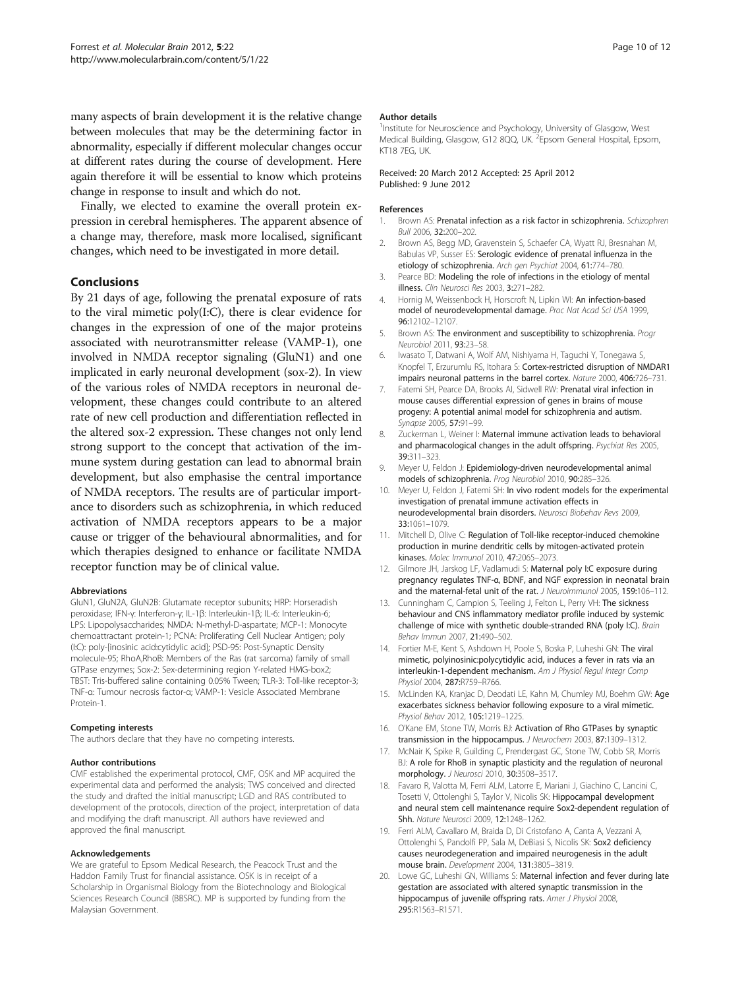<span id="page-9-0"></span>many aspects of brain development it is the relative change between molecules that may be the determining factor in abnormality, especially if different molecular changes occur at different rates during the course of development. Here again therefore it will be essential to know which proteins change in response to insult and which do not.

Finally, we elected to examine the overall protein expression in cerebral hemispheres. The apparent absence of a change may, therefore, mask more localised, significant changes, which need to be investigated in more detail.

### Conclusions

By 21 days of age, following the prenatal exposure of rats to the viral mimetic poly(I:C), there is clear evidence for changes in the expression of one of the major proteins associated with neurotransmitter release (VAMP-1), one involved in NMDA receptor signaling (GluN1) and one implicated in early neuronal development (sox-2). In view of the various roles of NMDA receptors in neuronal development, these changes could contribute to an altered rate of new cell production and differentiation reflected in the altered sox-2 expression. These changes not only lend strong support to the concept that activation of the immune system during gestation can lead to abnormal brain development, but also emphasise the central importance of NMDA receptors. The results are of particular importance to disorders such as schizophrenia, in which reduced activation of NMDA receptors appears to be a major cause or trigger of the behavioural abnormalities, and for which therapies designed to enhance or facilitate NMDA receptor function may be of clinical value.

#### Abbreviations

GluN1, GluN2A, GluN2B: Glutamate receptor subunits; HRP: Horseradish peroxidase; IFN-γ: Interferon-γ; IL-1β: Interleukin-1β; IL-6: Interleukin-6; LPS: Lipopolysaccharides; NMDA: N-methyl-D-aspartate; MCP-1: Monocyte chemoattractant protein-1; PCNA: Proliferating Cell Nuclear Antigen; poly (I:C): poly-[inosinic acid:cytidylic acid]; PSD-95: Post-Synaptic Density molecule-95; RhoA,RhoB: Members of the Ras (rat sarcoma) family of small GTPase enzymes; Sox-2: Sex-determining region Y-related HMG-box2; TBST: Tris-buffered saline containing 0.05% Tween; TLR-3: Toll-like receptor-3; TNF-α: Tumour necrosis factor-α; VAMP-1: Vesicle Associated Membrane Protein-1.

#### Competing interests

The authors declare that they have no competing interests.

#### Author contributions

CMF established the experimental protocol, CMF, OSK and MP acquired the experimental data and performed the analysis; TWS conceived and directed the study and drafted the initial manuscript; LGD and RAS contributed to development of the protocols, direction of the project, interpretation of data and modifying the draft manuscript. All authors have reviewed and approved the final manuscript.

#### Acknowledgements

We are grateful to Epsom Medical Research, the Peacock Trust and the Haddon Family Trust for financial assistance. OSK is in receipt of a Scholarship in Organismal Biology from the Biotechnology and Biological Sciences Research Council (BBSRC). MP is supported by funding from the Malaysian Government.

#### Author details

<sup>1</sup>Institute for Neuroscience and Psychology, University of Glasgow, West Medical Building, Glasgow, G12 8QQ, UK. <sup>2</sup> Epsom General Hospital, Epsom, KT18 7EG, UK.

#### Received: 20 March 2012 Accepted: 25 April 2012 Published: 9 June 2012

#### References

- 1. Brown AS: Prenatal infection as a risk factor in schizophrenia. Schizophren Bull 2006, 32:200–202.
- 2. Brown AS, Begg MD, Gravenstein S, Schaefer CA, Wyatt RJ, Bresnahan M, Babulas VP, Susser ES: Serologic evidence of prenatal influenza in the etiology of schizophrenia. Arch gen Psychiat 2004, 61:774–780.
- 3. Pearce BD: Modeling the role of infections in the etiology of mental illness. Clin Neurosci Res 2003, 3:271–282.
- 4. Hornig M, Weissenbock H, Horscroft N, Lipkin WI: An infection-based model of neurodevelopmental damage. Proc Nat Acad Sci USA 1999, 96:12102–12107.
- 5. Brown AS: The environment and susceptibility to schizophrenia. Progr Neurobiol 2011, 93:23–58.
- 6. Iwasato T, Datwani A, Wolf AM, Nishiyama H, Taguchi Y, Tonegawa S, Knopfel T, Erzurumlu RS, Itohara S: Cortex-restricted disruption of NMDAR1 impairs neuronal patterns in the barrel cortex. Nature 2000, 406:726–731.
- 7. Fatemi SH, Pearce DA, Brooks AI, Sidwell RW: Prenatal viral infection in mouse causes differential expression of genes in brains of mouse progeny: A potential animal model for schizophrenia and autism. Synapse 2005, 57:91–99.
- 8. Zuckerman L, Weiner I: Maternal immune activation leads to behavioral and pharmacological changes in the adult offspring. Psychiat Res 2005, 39:311–323.
- 9. Meyer U, Feldon J: Epidemiology-driven neurodevelopmental animal models of schizophrenia. Prog Neurobiol 2010, 90:285-326.
- 10. Meyer U, Feldon J, Fatemi SH: In vivo rodent models for the experimental investigation of prenatal immune activation effects in neurodevelopmental brain disorders. Neurosci Biobehav Revs 2009, 33:1061–1079.
- 11. Mitchell D, Olive C: Regulation of Toll-like receptor-induced chemokine production in murine dendritic cells by mitogen-activated protein kinases. Molec Immunol 2010, 47:2065–2073.
- 12. Gilmore JH, Jarskog LF, Vadlamudi S: Maternal poly I:C exposure during pregnancy regulates TNF-α, BDNF, and NGF expression in neonatal brain and the maternal-fetal unit of the rat. J Neuroimmunol 2005, 159:106-112.
- 13. Cunningham C, Campion S, Teeling J, Felton L, Perry VH: The sickness behaviour and CNS inflammatory mediator profile induced by systemic challenge of mice with synthetic double-stranded RNA (poly I:C). Brain Behav Immun 2007, 21:490–502.
- 14. Fortier M-E, Kent S, Ashdown H, Poole S, Boska P, Luheshi GN: The viral mimetic, polyinosinic:polycytidylic acid, induces a fever in rats via an interleukin-1-dependent mechanism. Am J Physiol Regul Integr Comp Physiol 2004, 287:R759–R766.
- 15. McLinden KA, Kranjac D, Deodati LE, Kahn M, Chumley MJ, Boehm GW: Age exacerbates sickness behavior following exposure to a viral mimetic. Physiol Behav 2012, 105:1219–1225.
- 16. O'Kane EM, Stone TW, Morris BJ: Activation of Rho GTPases by synaptic transmission in the hippocampus. J Neurochem 2003, 87:1309–1312.
- 17. McNair K, Spike R, Guilding C, Prendergast GC, Stone TW, Cobb SR, Morris BJ: A role for RhoB in synaptic plasticity and the regulation of neuronal morphology. J Neurosci 2010, 30:3508–3517.
- 18. Favaro R, Valotta M, Ferri ALM, Latorre E, Mariani J, Giachino C, Lancini C, Tosetti V, Ottolenghi S, Taylor V, Nicolis SK: Hippocampal development and neural stem cell maintenance require Sox2-dependent regulation of Shh. Nature Neurosci 2009, 12:1248–1262.
- 19. Ferri ALM, Cavallaro M, Braida D, Di Cristofano A, Canta A, Vezzani A, Ottolenghi S, Pandolfi PP, Sala M, DeBiasi S, Nicolis SK: Sox2 deficiency causes neurodegeneration and impaired neurogenesis in the adult mouse brain. Development 2004, 131:3805–3819.
- 20. Lowe GC, Luheshi GN, Williams S: Maternal infection and fever during late gestation are associated with altered synaptic transmission in the hippocampus of juvenile offspring rats. Amer J Physiol 2008, 295:R1563–R1571.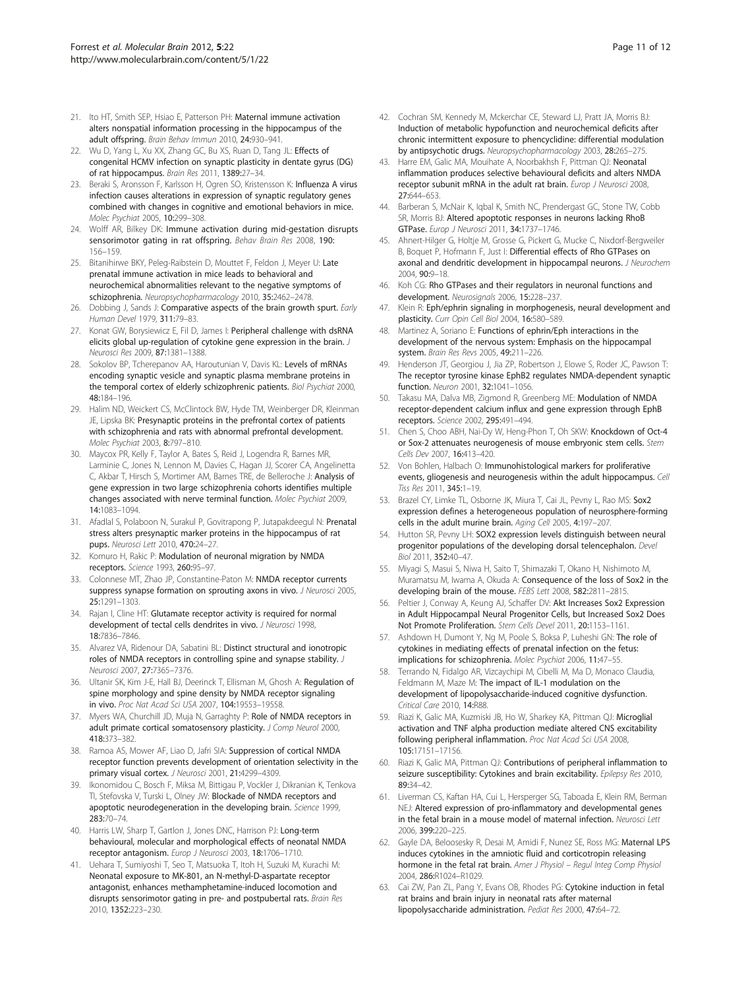- <span id="page-10-0"></span>21. Ito HT, Smith SEP, Hsiao E, Patterson PH: Maternal immune activation alters nonspatial information processing in the hippocampus of the adult offspring. Brain Behav Immun 2010, 24:930–941.
- 22. Wu D, Yang L, Xu XX, Zhang GC, Bu XS, Ruan D, Tang JL: Effects of congenital HCMV infection on synaptic plasticity in dentate gyrus (DG) of rat hippocampus. Brain Res 2011, 1389:27–34.
- 23. Beraki S, Aronsson F, Karlsson H, Ogren SO, Kristensson K: Influenza A virus infection causes alterations in expression of synaptic regulatory genes combined with changes in cognitive and emotional behaviors in mice. Molec Psychiat 2005, 10:299–308.
- 24. Wolff AR, Bilkey DK: Immune activation during mid-gestation disrupts sensorimotor gating in rat offspring. Behav Brain Res 2008, 190: 156–159.
- 25. Bitanihirwe BKY, Peleg-Raibstein D, Mouttet F, Feldon J, Meyer U: Late prenatal immune activation in mice leads to behavioral and neurochemical abnormalities relevant to the negative symptoms of schizophrenia. Neuropsychopharmacology 2010, 35:2462–2478.
- 26. Dobbing J, Sands J: Comparative aspects of the brain growth spurt. Early Human Devel 1979, 311:79–83.
- 27. Konat GW, Borysiewicz E, Fil D, James J: Peripheral challenge with dsRNA elicits global up-regulation of cytokine gene expression in the brain. J Neurosci Res 2009, 87:1381–1388.
- 28. Sokolov BP, Tcherepanov AA, Haroutunian V, Davis KL: Levels of mRNAs encoding synaptic vesicle and synaptic plasma membrane proteins in the temporal cortex of elderly schizophrenic patients. Biol Psychiat 2000, 48:184–196.
- 29. Halim ND, Weickert CS, McClintock BW, Hyde TM, Weinberger DR, Kleinman JE, Lipska BK: Presynaptic proteins in the prefrontal cortex of patients with schizophrenia and rats with abnormal prefrontal development. Molec Psychiat 2003, 8:797–810.
- 30. Maycox PR, Kelly F, Taylor A, Bates S, Reid J, Logendra R, Barnes MR, Larminie C, Jones N, Lennon M, Davies C, Hagan JJ, Scorer CA, Angelinetta C, Akbar T, Hirsch S, Mortimer AM, Barnes TRE, de Belleroche J: Analysis of gene expression in two large schizophrenia cohorts identifies multiple changes associated with nerve terminal function. Molec Psychiat 2009, 14:1083–1094.
- 31. Afadlal S, Polaboon N, Surakul P, Govitrapong P, Jutapakdeegul N: Prenatal stress alters presynaptic marker proteins in the hippocampus of rat pups. Neurosci Lett 2010, 470:24–27.
- 32. Komuro H, Rakic P: Modulation of neuronal migration by NMDA receptors. Science 1993, 260:95–97.
- 33. Colonnese MT, Zhao JP, Constantine-Paton M: NMDA receptor currents suppress synapse formation on sprouting axons in vivo. J Neurosci 2005, 25:1291–1303.
- 34. Rajan I, Cline HT: Glutamate receptor activity is required for normal development of tectal cells dendrites in vivo. J Neurosci 1998, 18:7836–7846.
- 35. Alvarez VA, Ridenour DA, Sabatini BL: Distinct structural and ionotropic roles of NMDA receptors in controlling spine and synapse stability. J Neurosci 2007, 27:7365–7376.
- 36. Ultanir SK, Kim J-E, Hall BJ, Deerinck T, Ellisman M, Ghosh A: Regulation of spine morphology and spine density by NMDA receptor signaling in vivo. Proc Nat Acad Sci USA 2007, 104:19553–19558.
- 37. Myers WA, Churchill JD, Muja N, Garraghty P: Role of NMDA receptors in adult primate cortical somatosensory plasticity. J Comp Neurol 2000, 418:373–382.
- 38. Ramoa AS, Mower AF, Liao D, Jafri SIA: Suppression of cortical NMDA receptor function prevents development of orientation selectivity in the primary visual cortex. J Neurosci 2001, 21:4299-4309.
- 39. Ikonomidou C, Bosch F, Miksa M, Bittigau P, Vockler J, Dikranian K, Tenkova TI, Stefovska V, Turski L, Olney JW: Blockade of NMDA receptors and apoptotic neurodegeneration in the developing brain. Science 1999, 283:70–74.
- 40. Harris LW, Sharp T, Gartlon J, Jones DNC, Harrison PJ: Long-term behavioural, molecular and morphological effects of neonatal NMDA receptor antagonism. Europ J Neurosci 2003, 18:1706–1710.
- 41. Uehara T, Sumiyoshi T, Seo T, Matsuoka T, Itoh H, Suzuki M, Kurachi M: Neonatal exposure to MK-801, an N-methyl-D-aspartate receptor antagonist, enhances methamphetamine-induced locomotion and disrupts sensorimotor gating in pre- and postpubertal rats. Brain Res 2010, 1352:223–230.
- 42. Cochran SM, Kennedy M, Mckerchar CE, Steward LJ, Pratt JA, Morris BJ: Induction of metabolic hypofunction and neurochemical deficits after chronic intermittent exposure to phencyclidine: differential modulation by antipsychotic drugs. Neuropsychopharmacology 2003, 28:265–275.
- 43. Harre EM, Galic MA, Mouihate A, Noorbakhsh F, Pittman QJ: Neonatal inflammation produces selective behavioural deficits and alters NMDA receptor subunit mRNA in the adult rat brain. Europ J Neurosci 2008, 27:644–653.
- 44. Barberan S, McNair K, Iqbal K, Smith NC, Prendergast GC, Stone TW, Cobb SR, Morris BJ: Altered apoptotic responses in neurons lacking RhoB GTPase. Europ J Neurosci 2011, 34:1737–1746.
- 45. Ahnert-Hilger G, Holtje M, Grosse G, Pickert G, Mucke C, Nixdorf-Bergweiler B, Boquet P, Hofmann F, Just I: Differential effects of Rho GTPases on axonal and dendritic development in hippocampal neurons. J Neurochem 2004, 90:9–18.
- 46. Koh CG: Rho GTPases and their regulators in neuronal functions and development. Neurosignals 2006, 15:228–237.
- 47. Klein R: Eph/ephrin signaling in morphogenesis, neural development and plasticity. Curr Opin Cell Biol 2004, 16:580–589.
- 48. Martinez A, Soriano E: Functions of ephrin/Eph interactions in the development of the nervous system: Emphasis on the hippocampal system. Brain Res Revs 2005, 49:211–226.
- 49. Henderson JT, Georgiou J, Jia ZP, Robertson J, Elowe S, Roder JC, Pawson T: The receptor tyrosine kinase EphB2 regulates NMDA-dependent synaptic function. Neuron 2001, 32:1041–1056.
- 50. Takasu MA, Dalva MB, Zigmond R, Greenberg ME: Modulation of NMDA receptor-dependent calcium influx and gene expression through EphB receptors. Science 2002, 295:491–494.
- 51. Chen S, Choo ABH, Nai-Dy W, Heng-Phon T, Oh SKW: Knockdown of Oct-4 or Sox-2 attenuates neurogenesis of mouse embryonic stem cells. Stem Cells Dev 2007, 16:413–420.
- 52. Von Bohlen, Halbach O: Immunohistological markers for proliferative events, gliogenesis and neurogenesis within the adult hippocampus. Cell Tiss Res 2011, 345:1–19.
- 53. Brazel CY, Limke TL, Osborne JK, Miura T, Cai JL, Pevny L, Rao MS: Sox2 expression defines a heterogeneous population of neurosphere-forming cells in the adult murine brain. Aging Cell 2005, 4:197–207.
- 54. Hutton SR, Pevny LH: SOX2 expression levels distinguish between neural progenitor populations of the developing dorsal telencephalon. Devel Biol 2011, 352:40–47.
- 55. Miyagi S, Masui S, Niwa H, Saito T, Shimazaki T, Okano H, Nishimoto M, Muramatsu M, Iwama A, Okuda A: Consequence of the loss of Sox2 in the developing brain of the mouse. FEBS Lett 2008, 582:2811–2815.
- 56. Peltier J, Conway A, Keung AJ, Schaffer DV: Akt Increases Sox2 Expression in Adult Hippocampal Neural Progenitor Cells, but Increased Sox2 Does Not Promote Proliferation. Stem Cells Devel 2011, 20:1153–1161.
- 57. Ashdown H, Dumont Y, Ng M, Poole S, Boksa P, Luheshi GN: The role of cytokines in mediating effects of prenatal infection on the fetus: implications for schizophrenia. Molec Psychiat 2006, 11:47–55.
- Terrando N, Fidalgo AR, Vizcaychipi M, Cibelli M, Ma D, Monaco Claudia, Feldmann M, Maze M: The impact of IL-1 modulation on the development of lipopolysaccharide-induced cognitive dysfunction. Critical Care 2010, 14:R88.
- 59. Riazi K, Galic MA, Kuzmiski JB, Ho W, Sharkey KA, Pittman QJ: Microglial activation and TNF alpha production mediate altered CNS excitability following peripheral inflammation. Proc Nat Acad Sci USA 2008, 105:17151–17156.
- 60. Riazi K, Galic MA, Pittman QJ: Contributions of peripheral inflammation to seizure susceptibility: Cytokines and brain excitability. Epilepsy Res 2010, 89:34–42.
- 61. Liverman CS, Kaftan HA, Cui L, Hersperger SG, Taboada E, Klein RM, Berman NEJ: Altered expression of pro-inflammatory and developmental genes in the fetal brain in a mouse model of maternal infection. Neurosci Lett 2006, 399:220–225.
- 62. Gayle DA, Beloosesky R, Desai M, Amidi F, Nunez SE, Ross MG: Maternal LPS induces cytokines in the amniotic fluid and corticotropin releasing hormone in the fetal rat brain. Amer J Physiol - Regul Integ Comp Physiol 2004, 286:R1024–R1029.
- 63. Cai ZW, Pan ZL, Pang Y, Evans OB, Rhodes PG: Cytokine induction in fetal rat brains and brain injury in neonatal rats after maternal lipopolysaccharide administration. Pediat Res 2000, 47:64–72.